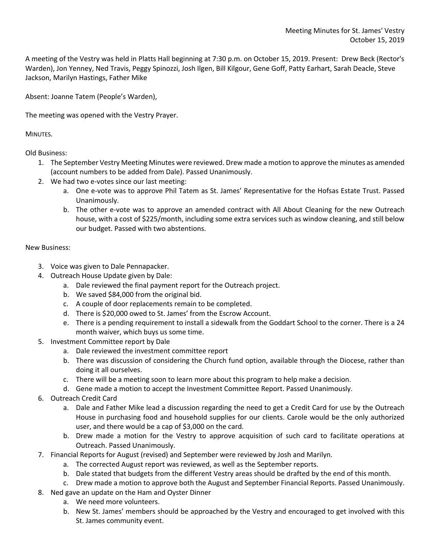A meeting of the Vestry was held in Platts Hall beginning at 7:30 p.m. on October 15, 2019. Present: Drew Beck (Rector's Warden), Jon Yenney, Ned Travis, Peggy Spinozzi, Josh Ilgen, Bill Kilgour, Gene Goff, Patty Earhart, Sarah Deacle, Steve Jackson, Marilyn Hastings, Father Mike

Absent: Joanne Tatem (People's Warden),

The meeting was opened with the Vestry Prayer.

MINUTES.

Old Business:

- 1. The September Vestry Meeting Minutes were reviewed. Drew made a motion to approve the minutes as amended (account numbers to be added from Dale). Passed Unanimously.
- 2. We had two e-votes since our last meeting:
	- a. One e-vote was to approve Phil Tatem as St. James' Representative for the Hofsas Estate Trust. Passed Unanimously.
	- b. The other e-vote was to approve an amended contract with All About Cleaning for the new Outreach house, with a cost of \$225/month, including some extra services such as window cleaning, and still below our budget. Passed with two abstentions.

## New Business:

- 3. Voice was given to Dale Pennapacker.
- 4. Outreach House Update given by Dale:
	- a. Dale reviewed the final payment report for the Outreach project.
	- b. We saved \$84,000 from the original bid.
	- c. A couple of door replacements remain to be completed.
	- d. There is \$20,000 owed to St. James' from the Escrow Account.
	- e. There is a pending requirement to install a sidewalk from the Goddart School to the corner. There is a 24 month waiver, which buys us some time.
- 5. Investment Committee report by Dale
	- a. Dale reviewed the investment committee report
	- b. There was discussion of considering the Church fund option, available through the Diocese, rather than doing it all ourselves.
	- c. There will be a meeting soon to learn more about this program to help make a decision.
	- d. Gene made a motion to accept the Investment Committee Report. Passed Unanimously.
- 6. Outreach Credit Card
	- a. Dale and Father Mike lead a discussion regarding the need to get a Credit Card for use by the Outreach House in purchasing food and household supplies for our clients. Carole would be the only authorized user, and there would be a cap of \$3,000 on the card.
	- b. Drew made a motion for the Vestry to approve acquisition of such card to facilitate operations at Outreach. Passed Unanimously.
- 7. Financial Reports for August (revised) and September were reviewed by Josh and Marilyn.
	- a. The corrected August report was reviewed, as well as the September reports.
	- b. Dale stated that budgets from the different Vestry areas should be drafted by the end of this month.
	- c. Drew made a motion to approve both the August and September Financial Reports. Passed Unanimously.
- 8. Ned gave an update on the Ham and Oyster Dinner
	- a. We need more volunteers.
	- b. New St. James' members should be approached by the Vestry and encouraged to get involved with this St. James community event.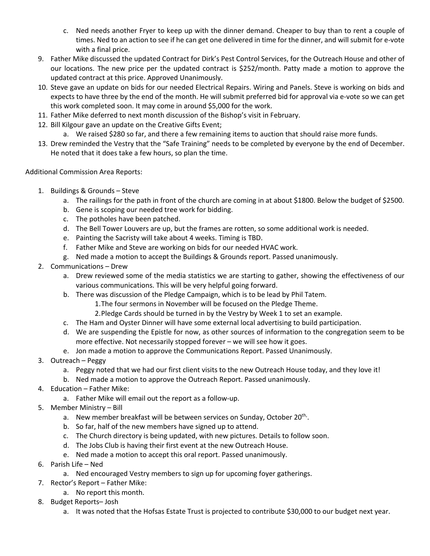- c. Ned needs another Fryer to keep up with the dinner demand. Cheaper to buy than to rent a couple of times. Ned to an action to see if he can get one delivered in time for the dinner, and will submit for e-vote with a final price.
- 9. Father Mike discussed the updated Contract for Dirk's Pest Control Services, for the Outreach House and other of our locations. The new price per the updated contract is \$252/month. Patty made a motion to approve the updated contract at this price. Approved Unanimously.
- 10. Steve gave an update on bids for our needed Electrical Repairs. Wiring and Panels. Steve is working on bids and expects to have three by the end of the month. He will submit preferred bid for approval via e-vote so we can get this work completed soon. It may come in around \$5,000 for the work.
- 11. Father Mike deferred to next month discussion of the Bishop's visit in February.
- 12. Bill Kilgour gave an update on the Creative Gifts Event;
	- a. We raised \$280 so far, and there a few remaining items to auction that should raise more funds.
- 13. Drew reminded the Vestry that the "Safe Training" needs to be completed by everyone by the end of December. He noted that it does take a few hours, so plan the time.

## Additional Commission Area Reports:

- 1. Buildings & Grounds Steve
	- a. The railings for the path in front of the church are coming in at about \$1800. Below the budget of \$2500.
	- b. Gene is scoping our needed tree work for bidding.
	- c. The potholes have been patched.
	- d. The Bell Tower Louvers are up, but the frames are rotten, so some additional work is needed.
	- e. Painting the Sacristy will take about 4 weeks. Timing is TBD.
	- f. Father Mike and Steve are working on bids for our needed HVAC work.
	- g. Ned made a motion to accept the Buildings & Grounds report. Passed unanimously.
- 2. Communications Drew
	- a. Drew reviewed some of the media statistics we are starting to gather, showing the effectiveness of our various communications. This will be very helpful going forward.
	- b. There was discussion of the Pledge Campaign, which is to be lead by Phil Tatem.
		- 1.The four sermons in November will be focused on the Pledge Theme.
		- 2.Pledge Cards should be turned in by the Vestry by Week 1 to set an example.
	- c. The Ham and Oyster Dinner will have some external local advertising to build participation.
	- d. We are suspending the Epistle for now, as other sources of information to the congregation seem to be more effective. Not necessarily stopped forever – we will see how it goes.
	- e. Jon made a motion to approve the Communications Report. Passed Unanimously.
- 3. Outreach Peggy
	- a. Peggy noted that we had our first client visits to the new Outreach House today, and they love it!
	- b. Ned made a motion to approve the Outreach Report. Passed unanimously.
- 4. Education Father Mike:
	- a. Father Mike will email out the report as a follow-up.
- 5. Member Ministry Bill
	- a. New member breakfast will be between services on Sunday, October 20<sup>th,</sup>.
	- b. So far, half of the new members have signed up to attend.
	- c. The Church directory is being updated, with new pictures. Details to follow soon.
	- d. The Jobs Club is having their first event at the new Outreach House.
	- e. Ned made a motion to accept this oral report. Passed unanimously.
- 6. Parish Life Ned
	- a. Ned encouraged Vestry members to sign up for upcoming foyer gatherings.
- 7. Rector's Report Father Mike:
	- a. No report this month.
- 8. Budget Reports– Josh
	- a. It was noted that the Hofsas Estate Trust is projected to contribute \$30,000 to our budget next year.